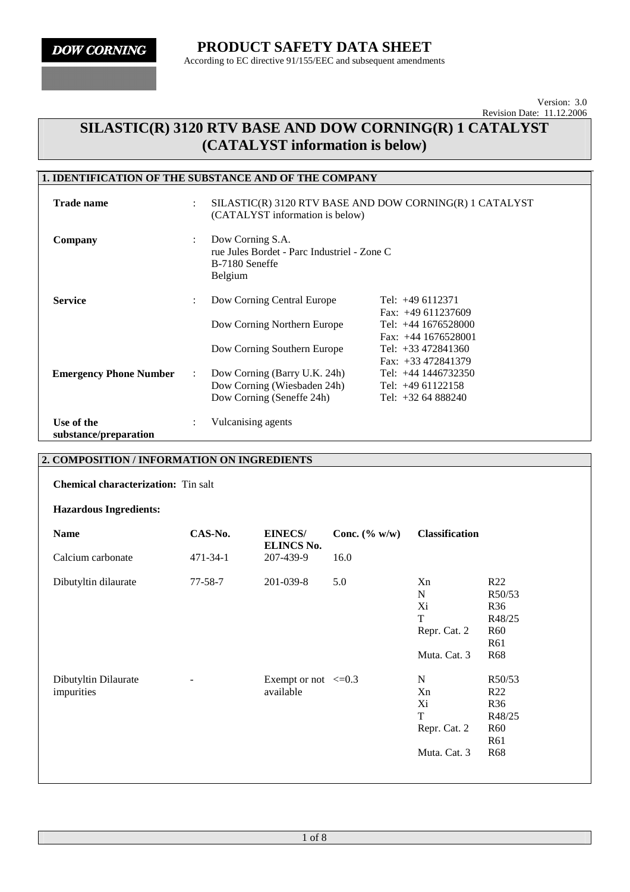## **SILASTIC(R) 3120 RTV BASE AND DOW CORNING(R) 1 CATALYST (CATALYST information is below)**

### **1. IDENTIFICATION OF THE SUBSTANCE AND OF THE COMPANY**

| <b>Trade name</b>                   |                           | SILASTIC(R) 3120 RTV BASE AND DOW CORNING(R) 1 CATALYST<br>(CATALYST information is below)   |                                                |  |
|-------------------------------------|---------------------------|----------------------------------------------------------------------------------------------|------------------------------------------------|--|
| Company                             | $\ddot{\phantom{0}}$      | Dow Corning S.A.<br>rue Jules Bordet - Parc Industriel - Zone C<br>B-7180 Seneffe<br>Belgium |                                                |  |
| <b>Service</b>                      | ÷                         | Dow Corning Central Europe                                                                   | Tel: $+49$ 6112371<br>Fax: $+49611237609$      |  |
|                                     |                           | Dow Corning Northern Europe                                                                  | Tel: $+44$ 1676528000<br>Fax: $+44$ 1676528001 |  |
|                                     |                           | Dow Corning Southern Europe                                                                  | Tel: $+33\,472841360$<br>Fax: $+33\,472841379$ |  |
| <b>Emergency Phone Number</b>       | $\mathbb{R}^{\mathbb{Z}}$ | Dow Corning (Barry U.K. 24h)                                                                 | Tel: $+44$ 1446732350                          |  |
|                                     |                           | Dow Corning (Wiesbaden 24h)                                                                  | Tel: $+4961122158$                             |  |
|                                     |                           | Dow Corning (Seneffe 24h)                                                                    | Tel: $+326488240$                              |  |
| Use of the<br>substance/preparation | ÷                         | Vulcanising agents                                                                           |                                                |  |

### **2. COMPOSITION / INFORMATION ON INGREDIENTS**

**Chemical characterization:** Tin salt

**Hazardous Ingredients:** 

| <b>Name</b>                        | CAS-No.       | <b>EINECS/</b><br><b>ELINCS No.</b>   | Conc. $(\% w/w)$ | <b>Classification</b>                                        |                                                                                                |
|------------------------------------|---------------|---------------------------------------|------------------|--------------------------------------------------------------|------------------------------------------------------------------------------------------------|
| Calcium carbonate                  | 471-34-1      | 207-439-9                             | 16.0             |                                                              |                                                                                                |
| Dibutyltin dilaurate               | $77 - 58 - 7$ | 201-039-8                             | 5.0              | Xn<br>N<br>Xi<br>T<br>Repr. Cat. 2<br>Muta. Cat. 3           | R22<br>R50/53<br>R <sub>36</sub><br>R48/25<br><b>R60</b><br>R <sub>61</sub><br>R <sub>68</sub> |
| Dibutyltin Dilaurate<br>impurities |               | Exempt or not $\leq 0.3$<br>available |                  | N<br>Xn<br>Xi<br>$\mathbf T$<br>Repr. Cat. 2<br>Muta. Cat. 3 | R50/53<br>R22<br>R <sub>36</sub><br>R48/25<br><b>R60</b><br>R <sub>61</sub><br>R <sub>68</sub> |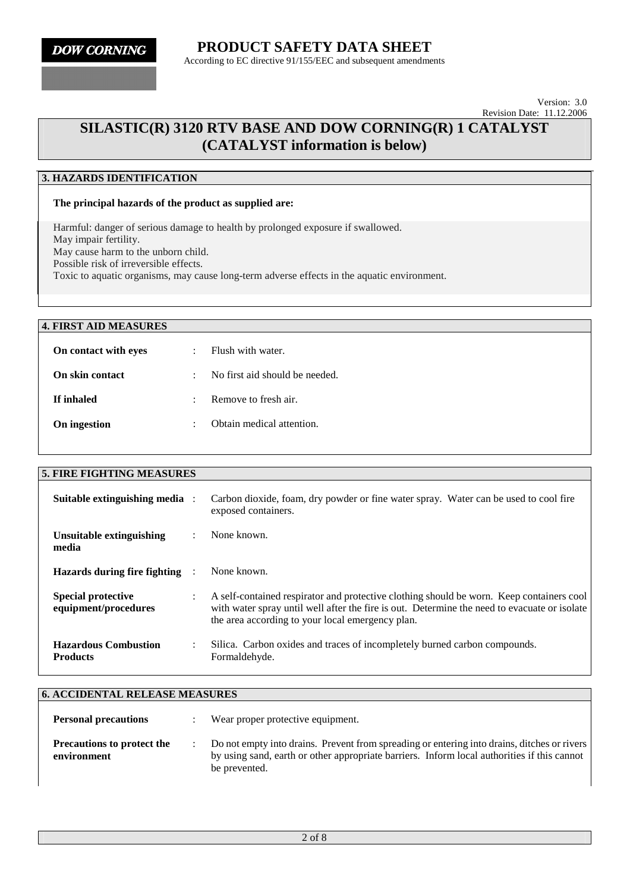## **SILASTIC(R) 3120 RTV BASE AND DOW CORNING(R) 1 CATALYST (CATALYST information is below)**

### **3. HAZARDS IDENTIFICATION**

#### **The principal hazards of the product as supplied are:**

Harmful: danger of serious damage to health by prolonged exposure if swallowed. May impair fertility. May cause harm to the unborn child. Possible risk of irreversible effects. Toxic to aquatic organisms, may cause long-term adverse effects in the aquatic environment.

#### **4. FIRST AID MEASURES**

| On contact with eyes | Flush with water.              |
|----------------------|--------------------------------|
| On skin contact      | No first aid should be needed. |
| If inhaled           | Remove to fresh air.           |
| On ingestion         | Obtain medical attention.      |

| <b>5. FIRE FIGHTING MEASURES</b>                  |                      |                                                                                                                                                                                                                                              |
|---------------------------------------------------|----------------------|----------------------------------------------------------------------------------------------------------------------------------------------------------------------------------------------------------------------------------------------|
| Suitable extinguishing media :                    |                      | Carbon dioxide, foam, dry powder or fine water spray. Water can be used to cool fire<br>exposed containers.                                                                                                                                  |
| Unsuitable extinguishing<br>media                 | $\mathbf{r}$         | None known.                                                                                                                                                                                                                                  |
| Hazards during fire fighting                      |                      | None known.                                                                                                                                                                                                                                  |
| <b>Special protective</b><br>equipment/procedures | $\ddot{\phantom{0}}$ | A self-contained respirator and protective clothing should be worn. Keep containers cool<br>with water spray until well after the fire is out. Determine the need to evacuate or isolate<br>the area according to your local emergency plan. |
| <b>Hazardous Combustion</b><br><b>Products</b>    |                      | Silica. Carbon oxides and traces of incompletely burned carbon compounds.<br>Formaldehyde.                                                                                                                                                   |

| <b>6. ACCIDENTAL RELEASE MEASURES</b>            |                                                                                                                                                                                                             |
|--------------------------------------------------|-------------------------------------------------------------------------------------------------------------------------------------------------------------------------------------------------------------|
| <b>Personal precautions</b>                      | Wear proper protective equipment.                                                                                                                                                                           |
| <b>Precautions to protect the</b><br>environment | Do not empty into drains. Prevent from spreading or entering into drains, ditches or rivers<br>by using sand, earth or other appropriate barriers. Inform local authorities if this cannot<br>be prevented. |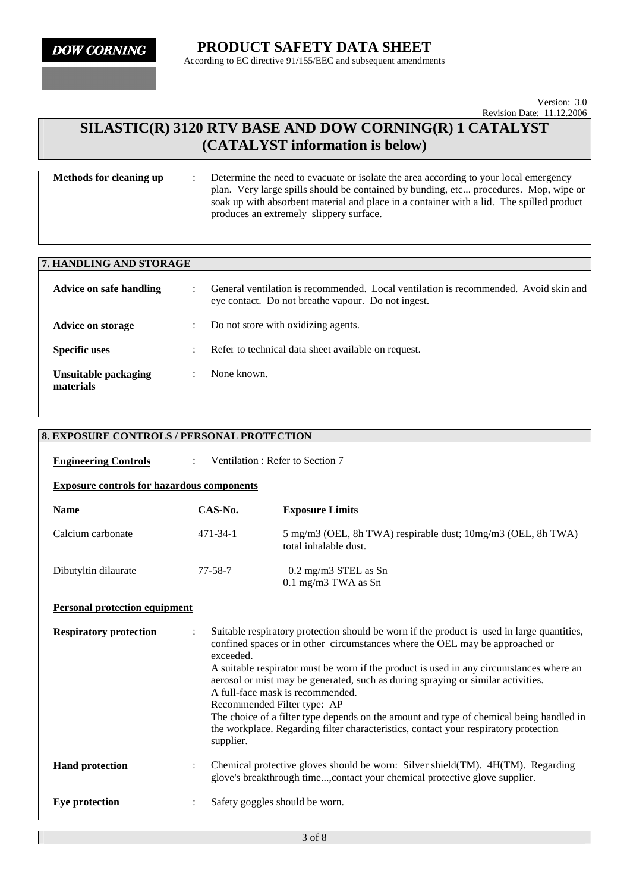# **SILASTIC(R) 3120 RTV BASE AND DOW CORNING(R) 1 CATALYST (CATALYST information is below)**

| Determine the need to evacuate or isolate the area according to your local emergency<br>plan. Very large spills should be contained by bunding, etc procedures. Mop, wipe or<br>soak up with absorbent material and place in a container with a lid. The spilled product<br>produces an extremely slippery surface. |
|---------------------------------------------------------------------------------------------------------------------------------------------------------------------------------------------------------------------------------------------------------------------------------------------------------------------|
|                                                                                                                                                                                                                                                                                                                     |
|                                                                                                                                                                                                                                                                                                                     |

| 7. HANDLING AND STORAGE           |           |                                                                                                                                            |
|-----------------------------------|-----------|--------------------------------------------------------------------------------------------------------------------------------------------|
| Advice on safe handling           |           | General ventilation is recommended. Local ventilation is recommended. Avoid skin and<br>eye contact. Do not breathe vapour. Do not ingest. |
| Advice on storage                 |           | Do not store with oxidizing agents.                                                                                                        |
| <b>Specific uses</b>              |           | Refer to technical data sheet available on request.                                                                                        |
| Unsuitable packaging<br>materials | $\bullet$ | None known.                                                                                                                                |

| <b>8. EXPOSURE CONTROLS / PERSONAL PROTECTION</b> |                        |                                                                                                                                                                                                                                                                                                                                                                                                                                                                                                                                                                                                                 |  |  |  |  |
|---------------------------------------------------|------------------------|-----------------------------------------------------------------------------------------------------------------------------------------------------------------------------------------------------------------------------------------------------------------------------------------------------------------------------------------------------------------------------------------------------------------------------------------------------------------------------------------------------------------------------------------------------------------------------------------------------------------|--|--|--|--|
| <b>Engineering Controls</b>                       | $\mathcal{L}$          | Ventilation: Refer to Section 7                                                                                                                                                                                                                                                                                                                                                                                                                                                                                                                                                                                 |  |  |  |  |
| <b>Exposure controls for hazardous components</b> |                        |                                                                                                                                                                                                                                                                                                                                                                                                                                                                                                                                                                                                                 |  |  |  |  |
| <b>Name</b>                                       | $CAS-N0$ .             | <b>Exposure Limits</b>                                                                                                                                                                                                                                                                                                                                                                                                                                                                                                                                                                                          |  |  |  |  |
| Calcium carbonate                                 | $471 - 34 - 1$         | 5 mg/m3 (OEL, 8h TWA) respirable dust; 10mg/m3 (OEL, 8h TWA)<br>total inhalable dust.                                                                                                                                                                                                                                                                                                                                                                                                                                                                                                                           |  |  |  |  |
| Dibutyltin dilaurate                              | $77 - 58 - 7$          | 0.2 mg/m3 STEL as Sn<br>$0.1$ mg/m3 TWA as Sn                                                                                                                                                                                                                                                                                                                                                                                                                                                                                                                                                                   |  |  |  |  |
| <b>Personal protection equipment</b>              |                        |                                                                                                                                                                                                                                                                                                                                                                                                                                                                                                                                                                                                                 |  |  |  |  |
| <b>Respiratory protection</b>                     | exceeded.<br>supplier. | Suitable respiratory protection should be worn if the product is used in large quantities,<br>confined spaces or in other circumstances where the OEL may be approached or<br>A suitable respirator must be worn if the product is used in any circumstances where an<br>aerosol or mist may be generated, such as during spraying or similar activities.<br>A full-face mask is recommended.<br>Recommended Filter type: AP<br>The choice of a filter type depends on the amount and type of chemical being handled in<br>the workplace. Regarding filter characteristics, contact your respiratory protection |  |  |  |  |
| <b>Hand protection</b>                            |                        | Chemical protective gloves should be worn: Silver shield(TM). 4H(TM). Regarding<br>glove's breakthrough time, contact your chemical protective glove supplier.                                                                                                                                                                                                                                                                                                                                                                                                                                                  |  |  |  |  |
| Eye protection                                    |                        | Safety goggles should be worn.                                                                                                                                                                                                                                                                                                                                                                                                                                                                                                                                                                                  |  |  |  |  |
|                                                   |                        |                                                                                                                                                                                                                                                                                                                                                                                                                                                                                                                                                                                                                 |  |  |  |  |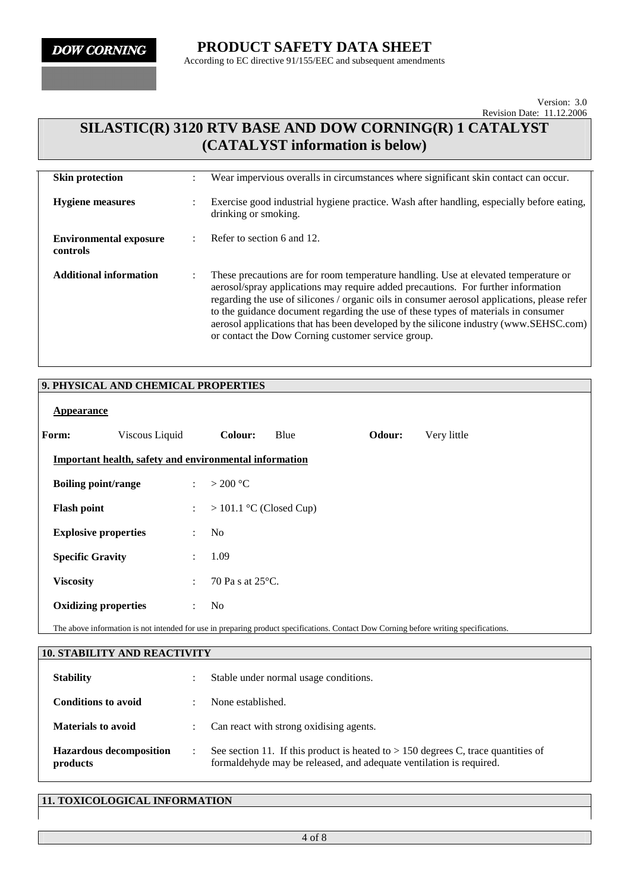# **SILASTIC(R) 3120 RTV BASE AND DOW CORNING(R) 1 CATALYST (CATALYST information is below)**

| <b>Skin protection</b>                    | Wear impervious overalls in circumstances where significant skin contact can occur.                                                                                                                                                                                                                                                                                                                                                                                                                           |
|-------------------------------------------|---------------------------------------------------------------------------------------------------------------------------------------------------------------------------------------------------------------------------------------------------------------------------------------------------------------------------------------------------------------------------------------------------------------------------------------------------------------------------------------------------------------|
| <b>Hygiene measures</b>                   | Exercise good industrial hygiene practice. Wash after handling, especially before eating,<br>drinking or smoking.                                                                                                                                                                                                                                                                                                                                                                                             |
| <b>Environmental exposure</b><br>controls | Refer to section 6 and 12.                                                                                                                                                                                                                                                                                                                                                                                                                                                                                    |
| <b>Additional information</b>             | These precautions are for room temperature handling. Use at elevated temperature or<br>aerosol/spray applications may require added precautions. For further information<br>regarding the use of silicones / organic oils in consumer aerosol applications, please refer<br>to the guidance document regarding the use of these types of materials in consumer<br>aerosol applications that has been developed by the silicone industry (www.SEHSC.com)<br>or contact the Dow Corning customer service group. |

### **9. PHYSICAL AND CHEMICAL PROPERTIES**

| Appearance                  |                                                        |                       |                            |      |        |             |
|-----------------------------|--------------------------------------------------------|-----------------------|----------------------------|------|--------|-------------|
| Form:                       | Viscous Liquid                                         |                       | Colour:                    | Blue | Odour: | Very little |
|                             | Important health, safety and environmental information |                       |                            |      |        |             |
| <b>Boiling point/range</b>  |                                                        | $\mathcal{L}$         | $>$ 200 °C                 |      |        |             |
| <b>Flash point</b>          |                                                        | $\mathbb{Z}^{\times}$ | $> 101.1$ °C (Closed Cup)  |      |        |             |
| <b>Explosive properties</b> |                                                        | $\ddot{\phantom{a}}$  | N <sub>0</sub>             |      |        |             |
| <b>Specific Gravity</b>     |                                                        | $\ddot{\phantom{a}}$  | 1.09                       |      |        |             |
| <b>Viscosity</b>            |                                                        | $\ddot{\phantom{a}}$  | 70 Pa s at $25^{\circ}$ C. |      |        |             |
| <b>Oxidizing properties</b> |                                                        | $\ddot{\phantom{a}}$  | No.                        |      |        |             |

The above information is not intended for use in preparing product specifications. Contact Dow Corning before writing specifications.

| <b>10. STABILITY AND REACTIVITY</b>        |                                                                                                                                                            |
|--------------------------------------------|------------------------------------------------------------------------------------------------------------------------------------------------------------|
| <b>Stability</b>                           | Stable under normal usage conditions.                                                                                                                      |
| <b>Conditions to avoid</b>                 | None established.                                                                                                                                          |
| <b>Materials to avoid</b>                  | Can react with strong oxidising agents.                                                                                                                    |
| <b>Hazardous decomposition</b><br>products | See section 11. If this product is heated to $> 150$ degrees C, trace quantities of<br>formaldehyde may be released, and adequate ventilation is required. |

#### **11. TOXICOLOGICAL INFORMATION**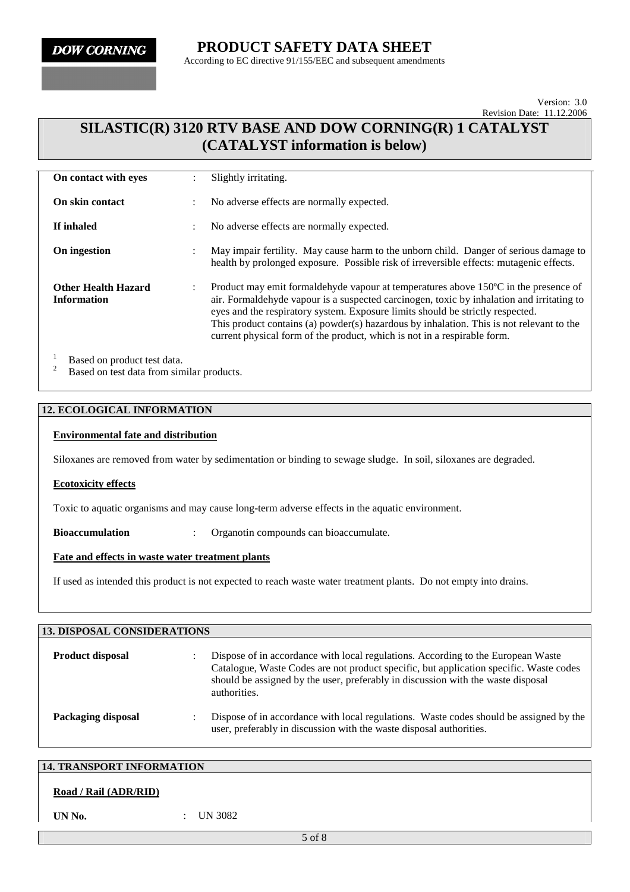# **PRODUCT SAFETY DATA SHEET**

According to EC directive 91/155/EEC and subsequent amendments

Version: 3.0 Revision Date: 11.12.2006

## **SILASTIC(R) 3120 RTV BASE AND DOW CORNING(R) 1 CATALYST (CATALYST information is below)**

| On contact with eyes                             | ٠<br>$\ddot{\phantom{0}}$ | Slightly irritating.                                                                                                                                                                                                                                                                                                                                                                                                                       |
|--------------------------------------------------|---------------------------|--------------------------------------------------------------------------------------------------------------------------------------------------------------------------------------------------------------------------------------------------------------------------------------------------------------------------------------------------------------------------------------------------------------------------------------------|
| <b>On skin contact</b>                           | $\ddot{\phantom{a}}$      | No adverse effects are normally expected.                                                                                                                                                                                                                                                                                                                                                                                                  |
| If inhaled                                       | $\ddot{\cdot}$            | No adverse effects are normally expected.                                                                                                                                                                                                                                                                                                                                                                                                  |
| On ingestion                                     | ٠<br>$\cdot$              | May impair fertility. May cause harm to the unborn child. Danger of serious damage to<br>health by prolonged exposure. Possible risk of irreversible effects: mutagenic effects.                                                                                                                                                                                                                                                           |
| <b>Other Health Hazard</b><br><b>Information</b> | $\ddot{\cdot}$            | Product may emit formaldehyde vapour at temperatures above 150°C in the presence of<br>air. Formaldehyde vapour is a suspected carcinogen, toxic by inhalation and irritating to<br>eyes and the respiratory system. Exposure limits should be strictly respected.<br>This product contains (a) powder(s) hazardous by inhalation. This is not relevant to the<br>current physical form of the product, which is not in a respirable form. |
| Rosad on product toot data                       |                           |                                                                                                                                                                                                                                                                                                                                                                                                                                            |

<sup>1</sup> Based on product test data.<br><sup>2</sup> Based on test data from similar products.

#### **12. ECOLOGICAL INFORMATION**

#### **Environmental fate and distribution**

Siloxanes are removed from water by sedimentation or binding to sewage sludge. In soil, siloxanes are degraded.

#### **Ecotoxicity effects**

Toxic to aquatic organisms and may cause long-term adverse effects in the aquatic environment.

**Bioaccumulation** : Organotin compounds can bioaccumulate.

#### **Fate and effects in waste water treatment plants**

If used as intended this product is not expected to reach waste water treatment plants. Do not empty into drains.

| <b>13. DISPOSAL CONSIDERATIONS</b> |  |                                                                                                                                                                                                                                                                                |  |  |
|------------------------------------|--|--------------------------------------------------------------------------------------------------------------------------------------------------------------------------------------------------------------------------------------------------------------------------------|--|--|
| <b>Product disposal</b>            |  | Dispose of in accordance with local regulations. According to the European Waste<br>Catalogue, Waste Codes are not product specific, but application specific. Waste codes<br>should be assigned by the user, preferably in discussion with the waste disposal<br>authorities. |  |  |
| Packaging disposal                 |  | Dispose of in accordance with local regulations. Waste codes should be assigned by the<br>user, preferably in discussion with the waste disposal authorities.                                                                                                                  |  |  |

#### **14. TRANSPORT INFORMATION**

#### **Road / Rail (ADR/RID)**

**UN No.** : UN 3082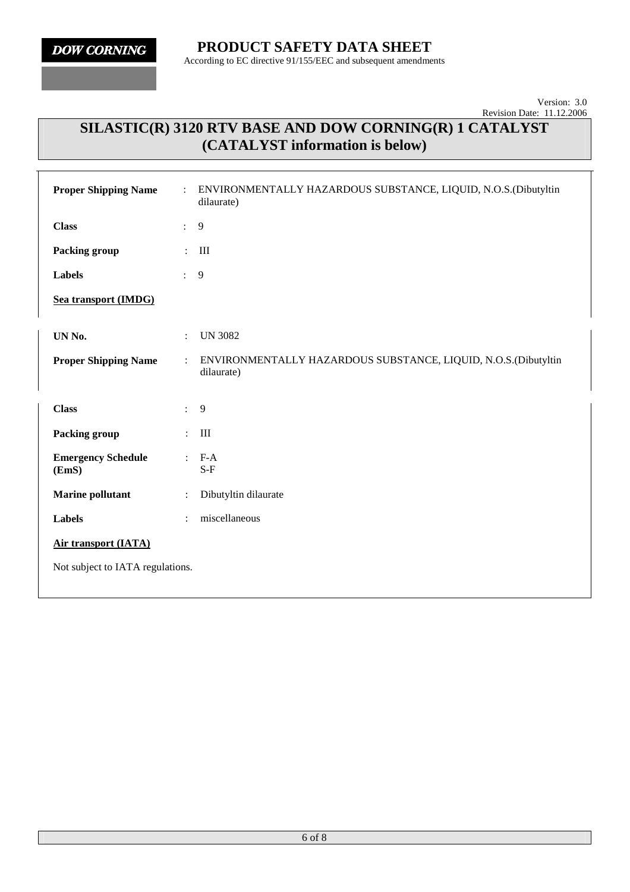# **SILASTIC(R) 3120 RTV BASE AND DOW CORNING(R) 1 CATALYST (CATALYST information is below)**

| <b>Proper Shipping Name</b>        | ÷              | ENVIRONMENTALLY HAZARDOUS SUBSTANCE, LIQUID, N.O.S.(Dibutyltin<br>dilaurate) |
|------------------------------------|----------------|------------------------------------------------------------------------------|
| <b>Class</b>                       | $\ddot{\cdot}$ | 9                                                                            |
| <b>Packing group</b>               | ÷              | Ш                                                                            |
| <b>Labels</b>                      | ÷.             | 9                                                                            |
| Sea transport (IMDG)               |                |                                                                              |
| UN No.                             | $\ddot{\cdot}$ | <b>UN 3082</b>                                                               |
| <b>Proper Shipping Name</b>        | $\ddot{\cdot}$ | ENVIRONMENTALLY HAZARDOUS SUBSTANCE, LIQUID, N.O.S.(Dibutyltin<br>dilaurate) |
|                                    |                |                                                                              |
| <b>Class</b>                       | $\ddot{\cdot}$ | 9                                                                            |
|                                    |                |                                                                              |
| Packing group                      | $\ddot{\cdot}$ | III                                                                          |
| <b>Emergency Schedule</b><br>(EmS) | $\ddot{\cdot}$ | $F-A$<br>$S-F$                                                               |
| <b>Marine pollutant</b>            | $\ddot{\cdot}$ | Dibutyltin dilaurate                                                         |
| <b>Labels</b>                      | $\ddot{\cdot}$ | miscellaneous                                                                |
| <b>Air transport (IATA)</b>        |                |                                                                              |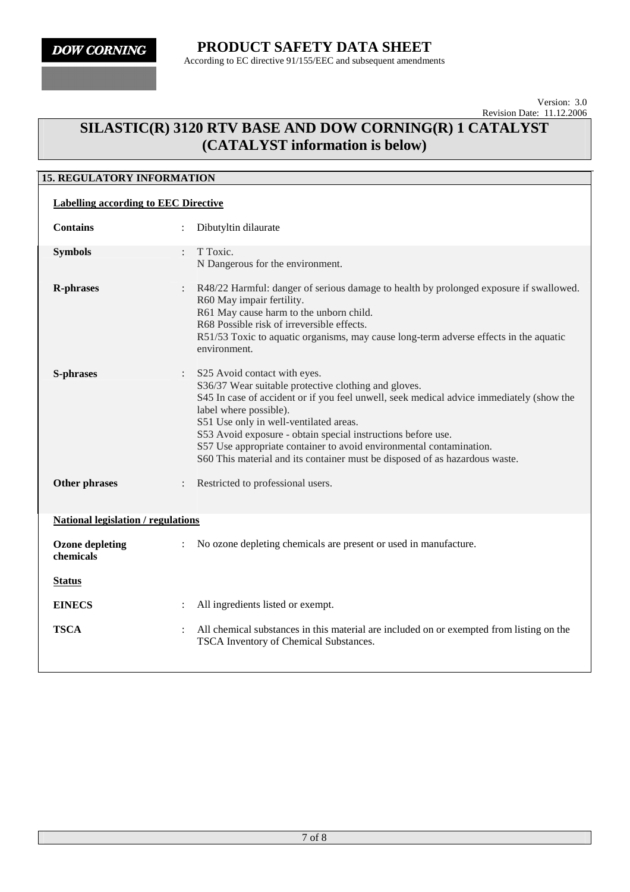# **SILASTIC(R) 3120 RTV BASE AND DOW CORNING(R) 1 CATALYST (CATALYST information is below)**

## **15. REGULATORY INFORMATION**

| <b>Labelling according to EEC Directive</b> |                                                                                                                                                                                                                                                                                                                                                                                                                                                                                              |  |  |
|---------------------------------------------|----------------------------------------------------------------------------------------------------------------------------------------------------------------------------------------------------------------------------------------------------------------------------------------------------------------------------------------------------------------------------------------------------------------------------------------------------------------------------------------------|--|--|
| <b>Contains</b>                             | Dibutyltin dilaurate                                                                                                                                                                                                                                                                                                                                                                                                                                                                         |  |  |
| <b>Symbols</b>                              | T Toxic.<br>$\ddot{\phantom{a}}$<br>N Dangerous for the environment.                                                                                                                                                                                                                                                                                                                                                                                                                         |  |  |
| <b>R-phrases</b>                            | R48/22 Harmful: danger of serious damage to health by prolonged exposure if swallowed.<br>R60 May impair fertility.<br>R61 May cause harm to the unborn child.<br>R68 Possible risk of irreversible effects.<br>R51/53 Toxic to aquatic organisms, may cause long-term adverse effects in the aquatic<br>environment.                                                                                                                                                                        |  |  |
| <b>S-phrases</b>                            | S25 Avoid contact with eyes.<br>$\ddot{\cdot}$<br>S36/37 Wear suitable protective clothing and gloves.<br>S45 In case of accident or if you feel unwell, seek medical advice immediately (show the<br>label where possible).<br>S51 Use only in well-ventilated areas.<br>S53 Avoid exposure - obtain special instructions before use.<br>S57 Use appropriate container to avoid environmental contamination.<br>S60 This material and its container must be disposed of as hazardous waste. |  |  |
| <b>Other phrases</b>                        | Restricted to professional users.                                                                                                                                                                                                                                                                                                                                                                                                                                                            |  |  |
| <b>National legislation / regulations</b>   |                                                                                                                                                                                                                                                                                                                                                                                                                                                                                              |  |  |
| <b>Ozone depleting</b><br>chemicals         | No ozone depleting chemicals are present or used in manufacture.                                                                                                                                                                                                                                                                                                                                                                                                                             |  |  |
| <u>Status</u>                               |                                                                                                                                                                                                                                                                                                                                                                                                                                                                                              |  |  |
| <b>EINECS</b>                               | All ingredients listed or exempt.                                                                                                                                                                                                                                                                                                                                                                                                                                                            |  |  |
| <b>TSCA</b>                                 | All chemical substances in this material are included on or exempted from listing on the<br>TSCA Inventory of Chemical Substances.                                                                                                                                                                                                                                                                                                                                                           |  |  |